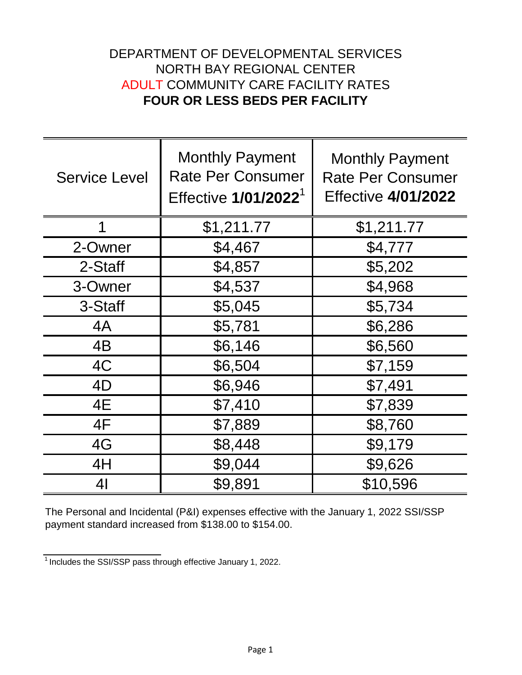## DEPARTMENT OF DEVELOPMENTAL SERVICES NORTH BAY REGIONAL CENTER ADULT COMMUNITY CARE FACILITY RATES **FOUR OR LESS BEDS PER FACILITY**

| <b>Service Level</b> | <b>Monthly Payment</b><br><b>Rate Per Consumer</b><br>Effective 1/01/2022 <sup>1</sup> | <b>Monthly Payment</b><br><b>Rate Per Consumer</b><br><b>Effective 4/01/2022</b> |
|----------------------|----------------------------------------------------------------------------------------|----------------------------------------------------------------------------------|
| 1                    | \$1,211.77                                                                             | \$1,211.77                                                                       |
| 2-Owner              | \$4,467                                                                                | \$4,777                                                                          |
| 2-Staff              | \$4,857                                                                                | \$5,202                                                                          |
| 3-Owner              | \$4,537                                                                                | \$4,968                                                                          |
| 3-Staff              | \$5,045                                                                                | \$5,734                                                                          |
| 4A                   | \$5,781                                                                                | \$6,286                                                                          |
| 4B                   | \$6,146                                                                                | \$6,560                                                                          |
| 4C                   | \$6,504                                                                                | \$7,159                                                                          |
| 4D                   | \$6,946                                                                                | \$7,491                                                                          |
| 4E                   | \$7,410                                                                                | \$7,839                                                                          |
| 4F                   | \$7,889                                                                                | \$8,760                                                                          |
| 4G                   | \$8,448                                                                                | \$9,179                                                                          |
| 4H                   | \$9,044                                                                                | \$9,626                                                                          |
| 4 <sub>l</sub>       | \$9,891                                                                                | \$10,596                                                                         |

The Personal and Incidental (P&I) expenses effective with the January 1, 2022 SSI/SSP payment standard increased from \$138.00 to \$154.00.

 $1$ Includes the SSI/SSP pass through effective January 1, 2022.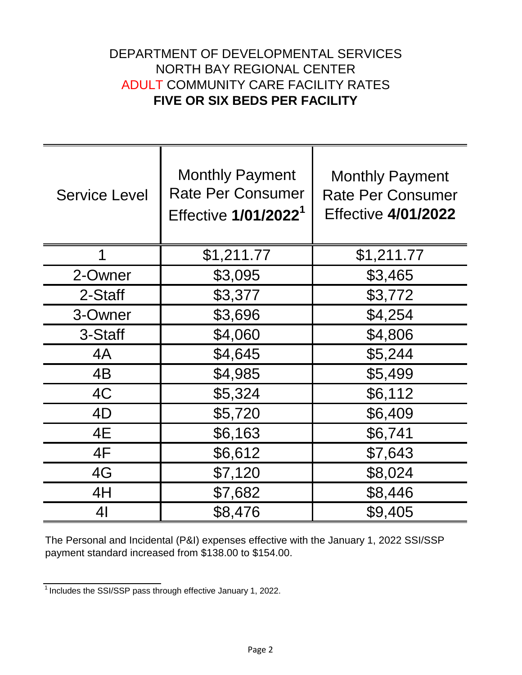## DEPARTMENT OF DEVELOPMENTAL SERVICES NORTH BAY REGIONAL CENTER ADULT COMMUNITY CARE FACILITY RATES **FIVE OR SIX BEDS PER FACILITY**

| <b>Service Level</b> | <b>Monthly Payment</b><br><b>Rate Per Consumer</b><br>Effective 1/01/2022 <sup>1</sup> | <b>Monthly Payment</b><br><b>Rate Per Consumer</b><br><b>Effective 4/01/2022</b> |
|----------------------|----------------------------------------------------------------------------------------|----------------------------------------------------------------------------------|
| 1                    | \$1,211.77                                                                             | \$1,211.77                                                                       |
| 2-Owner              | \$3,095                                                                                | \$3,465                                                                          |
| 2-Staff              | \$3,377                                                                                | \$3,772                                                                          |
| 3-Owner              | \$3,696                                                                                | \$4,254                                                                          |
| 3-Staff              | \$4,060                                                                                | \$4,806                                                                          |
| 4A                   | \$4,645                                                                                | \$5,244                                                                          |
| 4B                   | \$4,985                                                                                | \$5,499                                                                          |
| 4C                   | \$5,324                                                                                | \$6,112                                                                          |
| 4D                   | \$5,720                                                                                | \$6,409                                                                          |
| 4E                   | \$6,163                                                                                | \$6,741                                                                          |
| 4F                   | \$6,612                                                                                | \$7,643                                                                          |
| 4G                   | \$7,120                                                                                | \$8,024                                                                          |
| 4H                   | \$7,682                                                                                | \$8,446                                                                          |
| 41                   | \$8,476                                                                                | \$9,405                                                                          |

The Personal and Incidental (P&I) expenses effective with the January 1, 2022 SSI/SSP payment standard increased from \$138.00 to \$154.00.

 $\frac{1}{1}$  Includes the SSI/SSP pass through effective January 1, 2022.